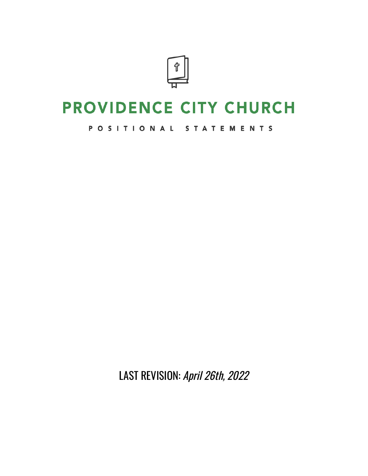

## **PROVIDENCE CITY CHURCH**

POSITIONAL STATEMENTS

LAST REVISION: April 26th, 2022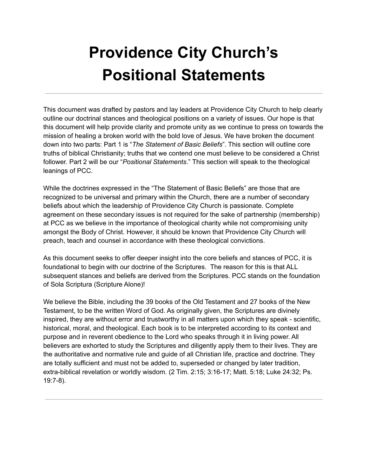# **Providence City Church's Positional Statements**

This document was drafted by pastors and lay leaders at Providence City Church to help clearly outline our doctrinal stances and theological positions on a variety of issues. Our hope is that this document will help provide clarity and promote unity as we continue to press on towards the mission of healing a broken world with the bold love of Jesus. We have broken the document down into two parts: Part 1 is "*The Statement of Basic Beliefs*". This section will outline core truths of biblical Christianity; truths that we contend one must believe to be considered a Christ follower. Part 2 will be our "*Positional Statements*." This section will speak to the theological leanings of PCC.

While the doctrines expressed in the "The Statement of Basic Beliefs" are those that are recognized to be universal and primary within the Church, there are a number of secondary beliefs about which the leadership of Providence City Church is passionate. Complete agreement on these secondary issues is not required for the sake of partnership (membership) at PCC as we believe in the importance of theological charity while not compromising unity amongst the Body of Christ. However, it should be known that Providence City Church will preach, teach and counsel in accordance with these theological convictions.

As this document seeks to offer deeper insight into the core beliefs and stances of PCC, it is foundational to begin with our doctrine of the Scriptures. The reason for this is that ALL subsequent stances and beliefs are derived from the Scriptures. PCC stands on the foundation of Sola Scriptura (Scripture Alone)!

We believe the Bible, including the 39 books of the Old Testament and 27 books of the New Testament, to be the written Word of God. As originally given, the Scriptures are divinely inspired, they are without error and trustworthy in all matters upon which they speak - scientific, historical, moral, and theological. Each book is to be interpreted according to its context and purpose and in reverent obedience to the Lord who speaks through it in living power. All believers are exhorted to study the Scriptures and diligently apply them to their lives. They are the authoritative and normative rule and guide of all Christian life, practice and doctrine. They are totally sufficient and must not be added to, superseded or changed by later tradition, extra-biblical revelation or worldly wisdom. (2 Tim. 2:15; 3:16-17; Matt. 5:18; Luke 24:32; Ps. 19:7-8).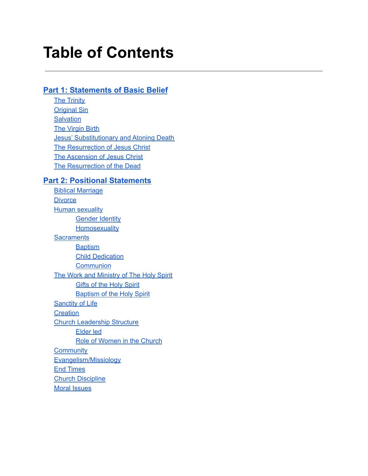# **Table of Contents**

#### **Part 1: [Statements](#page-3-0) of Basic Belief**

**The [Trinity](#page-3-1) [Original](#page-3-2) Sin [Salvation](#page-3-3) The [Virgin](#page-4-0) Birth** Jesus' [Substitutionary](#page-4-1) and Atoning Death The [Resurrection](#page-4-2) of Jesus Christ The [Ascension](#page-4-3) of Jesus Christ The [Resurrection](#page-4-4) of the Dead

#### **Part 2: Positional [Statements](#page-5-0)**

Biblical [Marriage](#page-5-1) **[Divorce](#page-5-2) Human [sexuality](#page-6-0)** [Gender](#page-6-1) Identity **[Homosexuality](#page-6-2) [Sacraments](#page-7-0) [Baptism](#page-7-1)** Child [Dedication](#page-7-2) **[Communion](#page-7-3)** The Work and [Ministry](#page-7-4) of The Holy Spirit Gifts of the Holy [Spirit](#page-7-5) [Baptism](#page-8-0) of the Holy Spirit **[Sanctity](#page-8-1) of Life [Creation](#page-8-2)** Church [Leadership](#page-9-0) Structure [Elder](#page-9-1) led Role of [Women](#page-9-2) in the Church **[Community](#page-10-0)** [Evangelism/Missiology](#page-10-1) End [Times](#page-10-2) Church [Discipline](#page-11-0) Moral [Issues](#page-11-1)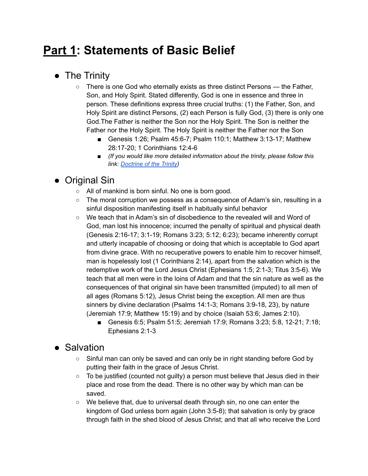## <span id="page-3-0"></span>**Part 1: Statements of Basic Belief**

### <span id="page-3-1"></span>• The Trinity

- $\circ$  There is one God who eternally exists as three distinct Persons the Father, Son, and Holy Spirit. Stated differently, God is one in essence and three in person. These definitions express three crucial truths: (1) the Father, Son, and Holy Spirit are distinct Persons, (2) each Person is fully God, (3) there is only one God.The Father is neither the Son nor the Holy Spirit. The Son is neither the Father nor the Holy Spirit. The Holy Spirit is neither the Father nor the Son
	- Genesis 1:26; Psalm 45:6-7; Psalm 110:1; Matthew 3:13-17; Matthew 28:17-20; 1 Corinthians 12:4-6
	- *■ (If you would like more detailed information about the trinity, please follow this link: [Doctrine](https://docs.google.com/document/d/1tRnEPZrwzuSWGvA_KU6p7-yScc8hn0QDLseZ4Ehdico/edit?usp=sharing) of the Trinity)*

### <span id="page-3-2"></span>● Original Sin

- All of mankind is born sinful. No one is born good.
- $\circ$  The moral corruption we possess as a consequence of Adam's sin, resulting in a sinful disposition manifesting itself in habitually sinful behavior
- We teach that in Adam's sin of disobedience to the revealed will and Word of God, man lost his innocence; incurred the penalty of spiritual and physical death (Genesis 2:16-17; 3:1-19; Romans 3:23; 5:12; 6:23); became inherently corrupt and utterly incapable of choosing or doing that which is acceptable to God apart from divine grace. With no recuperative powers to enable him to recover himself, man is hopelessly lost (1 Corinthians 2:14), apart from the salvation which is the redemptive work of the Lord Jesus Christ (Ephesians 1:5; 2:1-3; Titus 3:5-6). We teach that all men were in the loins of Adam and that the sin nature as well as the consequences of that original sin have been transmitted (imputed) to all men of all ages (Romans 5:12), Jesus Christ being the exception. All men are thus sinners by divine declaration (Psalms 14:1-3; Romans 3:9-18, 23), by nature (Jeremiah 17:9; Matthew 15:19) and by choice (Isaiah 53:6; James 2:10).
	- Genesis 6:5; Psalm 51:5; Jeremiah 17:9; Romans 3:23; 5:8, 12-21; 7:18; Ephesians 2:1-3

### <span id="page-3-3"></span>• Salvation

- Sinful man can only be saved and can only be in right standing before God by putting their faith in the grace of Jesus Christ.
- $\circ$  To be justified (counted not guilty) a person must believe that Jesus died in their place and rose from the dead. There is no other way by which man can be saved.
- We believe that, due to universal death through sin, no one can enter the kingdom of God unless born again (John 3:5-8); that salvation is only by grace through faith in the shed blood of Jesus Christ; and that all who receive the Lord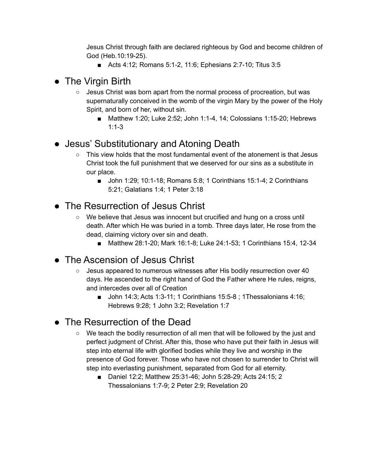Jesus Christ through faith are declared righteous by God and become children of God (Heb.10:19-25).

■ Acts 4:12; Romans 5:1-2, 11:6; Ephesians 2:7-10; Titus 3:5

### <span id="page-4-0"></span>• The Virgin Birth

- Jesus Christ was born apart from the normal process of procreation, but was supernaturally conceived in the womb of the virgin Mary by the power of the Holy Spirit, and born of her, without sin.
	- Matthew 1:20; Luke 2:52; John 1:1-4, 14; Colossians 1:15-20; Hebrews 1:1-3

### <span id="page-4-1"></span>● Jesus' Substitutionary and Atoning Death

- $\circ$  This view holds that the most fundamental event of the atonement is that Jesus Christ took the full punishment that we deserved for our sins as a substitute in our place.
	- John 1:29; 10:1-18; Romans 5:8; 1 Corinthians 15:1-4; 2 Corinthians 5:21; Galatians 1:4; 1 Peter 3:18

### <span id="page-4-2"></span>• The Resurrection of Jesus Christ

- We believe that Jesus was innocent but crucified and hung on a cross until death. After which He was buried in a tomb. Three days later, He rose from the dead, claiming victory over sin and death.
	- Matthew 28:1-20; Mark 16:1-8; Luke 24:1-53; 1 Corinthians 15:4, 12-34

### <span id="page-4-3"></span>• The Ascension of Jesus Christ

- Jesus appeared to numerous witnesses after His bodily resurrection over 40 days. He ascended to the right hand of God the Father where He rules, reigns, and intercedes over all of Creation
	- John 14:3; Acts 1:3-11; 1 Corinthians 15:5-8; 1 Thessalonians 4:16; Hebrews 9:28; 1 John 3:2; Revelation 1:7

### <span id="page-4-4"></span>● The Resurrection of the Dead

- $\circ$  We teach the bodily resurrection of all men that will be followed by the just and perfect judgment of Christ. After this, those who have put their faith in Jesus will step into eternal life with glorified bodies while they live and worship in the presence of God forever. Those who have not chosen to surrender to Christ will step into everlasting punishment, separated from God for all eternity.
	- Daniel 12:2; Matthew 25:31-46; John 5:28-29; Acts 24:15; 2 Thessalonians 1:7-9; 2 Peter 2:9; Revelation 20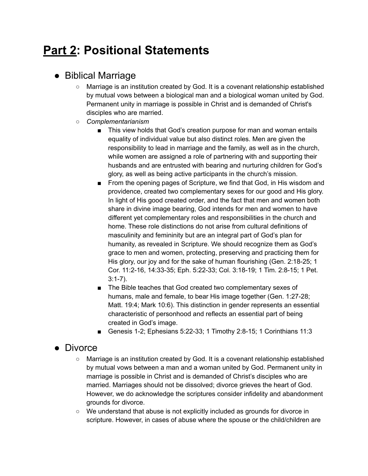## <span id="page-5-0"></span>**Part 2: Positional Statements**

### <span id="page-5-1"></span>● Biblical Marriage

- Marriage is an institution created by God. It is a covenant relationship established by mutual vows between a biological man and a biological woman united by God. Permanent unity in marriage is possible in Christ and is demanded of Christ's disciples who are married.
- *○ Complementarianism*
	- This view holds that God's creation purpose for man and woman entails equality of individual value but also distinct roles. Men are given the responsibility to lead in marriage and the family, as well as in the church, while women are assigned a role of partnering with and supporting their husbands and are entrusted with bearing and nurturing children for God's glory, as well as being active participants in the church's mission.
	- From the opening pages of Scripture, we find that God, in His wisdom and providence, created two complementary sexes for our good and His glory. In light of His good created order, and the fact that men and women both share in divine image bearing, God intends for men and women to have different yet complementary roles and responsibilities in the church and home. These role distinctions do not arise from cultural definitions of masculinity and femininity but are an integral part of God's plan for humanity, as revealed in Scripture. We should recognize them as God's grace to men and women, protecting, preserving and practicing them for His glory, our joy and for the sake of human flourishing (Gen. 2:18-25; 1 Cor. 11:2-16, 14:33-35; Eph. 5:22-33; Col. 3:18-19; 1 Tim. 2:8-15; 1 Pet. 3:1-7).
	- The Bible teaches that God created two complementary sexes of humans, male and female, to bear His image together (Gen. 1:27-28; Matt. 19:4; Mark 10:6). This distinction in gender represents an essential characteristic of personhood and reflects an essential part of being created in God's image.
	- Genesis 1-2; Ephesians 5:22-33; 1 Timothy 2:8-15; 1 Corinthians 11:3

### <span id="page-5-2"></span>● Divorce

- Marriage is an institution created by God. It is a covenant relationship established by mutual vows between a man and a woman united by God. Permanent unity in marriage is possible in Christ and is demanded of Christ's disciples who are married. Marriages should not be dissolved; divorce grieves the heart of God. However, we do acknowledge the scriptures consider infidelity and abandonment grounds for divorce.
- We understand that abuse is not explicitly included as grounds for divorce in scripture. However, in cases of abuse where the spouse or the child/children are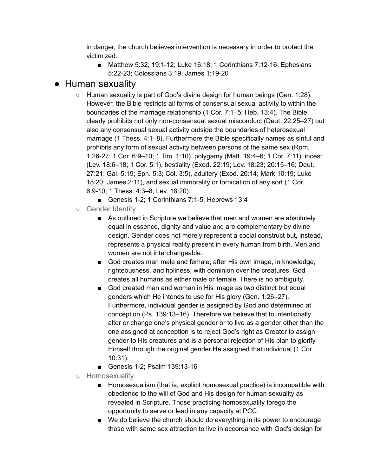in danger, the church believes intervention is necessary in order to protect the victimized.

■ Matthew 5:32, 19:1-12; Luke 16:18; 1 Corinthians 7:12-16; Ephesians 5:22-23; Colossians 3:19; James 1:19-20

### <span id="page-6-0"></span>• Human sexuality

- Human sexuality is part of God's divine design for human beings (Gen. 1:28). However, the Bible restricts all forms of consensual sexual activity to within the boundaries of the marriage relationship (1 Cor. 7:1–5; Heb. 13:4). The Bible clearly prohibits not only non-consensual sexual misconduct (Deut. 22:25–27) but also any consensual sexual activity outside the boundaries of heterosexual marriage (1 Thess. 4:1–8). Furthermore the Bible specifically names as sinful and prohibits any form of sexual activity between persons of the same sex (Rom. 1:26-27; 1 Cor. 6:9–10; 1 Tim. 1:10), polygamy (Matt. 19:4–6; 1 Cor. 7:11), incest (Lev. 18:6–18; 1 Cor. 5:1), bestiality (Exod. 22:19; Lev. 18:23; 20:15–16; Deut. 27:21; Gal. 5:19; Eph. 5:3; Col. 3:5), adultery (Exod. 20:14; Mark 10:19; Luke 18:20; James 2:11), and sexual immorality or fornication of any sort (1 Cor. 6:9-10; 1 Thess. 4:3–8; Lev. 18:20).
	- Genesis 1-2; 1 Corinthians 7:1-5; Hebrews 13:4
- <span id="page-6-1"></span>○ Gender Identity
	- As outlined in Scripture we believe that men and women are absolutely equal in essence, dignity and value and are complementary by divine design. Gender does not merely represent a social construct but, instead, represents a physical reality present in every human from birth. Men and women are not interchangeable.
	- God creates man male and female, after His own image, in knowledge, righteousness, and holiness, with dominion over the creatures. God creates all humans as either male or female. There is no ambiguity.
	- God created man and woman in His image as two distinct but equal genders which He intends to use for His glory (Gen. 1:26–27). Furthermore, individual gender is assigned by God and determined at conception (Ps. 139:13–16). Therefore we believe that to intentionally alter or change one's physical gender or to live as a gender other than the one assigned at conception is to reject God's right as Creator to assign gender to His creatures and is a personal rejection of His plan to glorify Himself through the original gender He assigned that individual (1 Cor. 10:31).
	- Genesis 1-2; Psalm 139:13-16
- <span id="page-6-2"></span>○ Homosexuality
	- Homosexualism (that is, explicit homosexual practice) is incompatible with obedience to the will of God and His design for human sexuality as revealed in Scripture. Those practicing homosexuality forego the opportunity to serve or lead in any capacity at PCC.
	- We do believe the church should do everything in its power to encourage those with same sex attraction to live in accordance with God's design for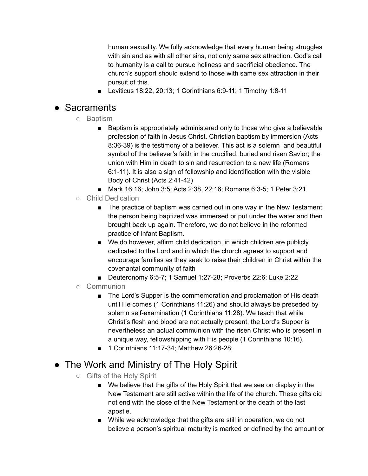human sexuality. We fully acknowledge that every human being struggles with sin and as with all other sins, not only same sex attraction. God's call to humanity is a call to pursue holiness and sacrificial obedience. The church's support should extend to those with same sex attraction in their pursuit of this.

■ Leviticus 18:22, 20:13; 1 Corinthians 6:9-11; 1 Timothy 1:8-11

### <span id="page-7-1"></span><span id="page-7-0"></span>• Sacraments

- Baptism
	- Baptism is appropriately administered only to those who give a believable profession of faith in Jesus Christ. Christian baptism by immersion (Acts 8:36-39) is the testimony of a believer. This act is a solemn and beautiful symbol of the believer's faith in the crucified, buried and risen Savior; the union with Him in death to sin and resurrection to a new life (Romans 6:1-11). It is also a sign of fellowship and identification with the visible Body of Christ (Acts 2:41-42)
	- Mark 16:16; John 3:5; Acts 2:38, 22:16; Romans 6:3-5; 1 Peter 3:21
- <span id="page-7-2"></span>○ Child Dedication
	- The practice of baptism was carried out in one way in the New Testament: the person being baptized was immersed or put under the water and then brought back up again. Therefore, we do not believe in the reformed practice of Infant Baptism.
	- We do however, affirm child dedication, in which children are publicly dedicated to the Lord and in which the church agrees to support and encourage families as they seek to raise their children in Christ within the covenantal community of faith
	- Deuteronomy 6:5-7; 1 Samuel 1:27-28; Proverbs 22:6; Luke 2:22
- <span id="page-7-3"></span>○ Communion
	- The Lord's Supper is the commemoration and proclamation of His death until He comes (1 Corinthians 11:26) and should always be preceded by solemn self-examination (1 Corinthians 11:28). We teach that while Christ's flesh and blood are not actually present, the Lord's Supper is nevertheless an actual communion with the risen Christ who is present in a unique way, fellowshipping with His people (1 Corinthians 10:16).
	- 1 Corinthians 11:17-34; Matthew 26:26-28;

### <span id="page-7-5"></span><span id="page-7-4"></span>• The Work and Ministry of The Holy Spirit

- Gifts of the Holy Spirit
	- We believe that the gifts of the Holy Spirit that we see on display in the New Testament are still active within the life of the church. These gifts did not end with the close of the New Testament or the death of the last apostle.
	- While we acknowledge that the gifts are still in operation, we do not believe a person's spiritual maturity is marked or defined by the amount or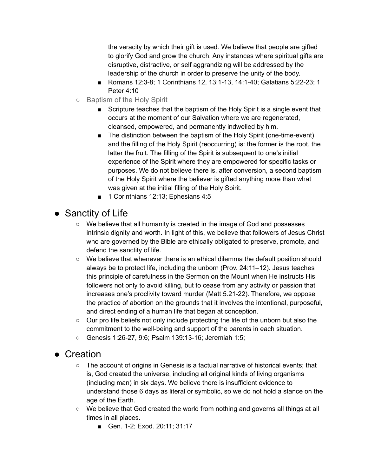the veracity by which their gift is used. We believe that people are gifted to glorify God and grow the church. Any instances where spiritual gifts are disruptive, distractive, or self aggrandizing will be addressed by the leadership of the church in order to preserve the unity of the body.

- Romans 12:3-8; 1 Corinthians 12, 13:1-13, 14:1-40; Galatians 5:22-23; 1 Peter 4:10
- <span id="page-8-0"></span>○ Baptism of the Holy Spirit
	- Scripture teaches that the baptism of the Holy Spirit is a single event that occurs at the moment of our Salvation where we are regenerated, cleansed, empowered, and permanently indwelled by him.
	- The distinction between the baptism of the Holy Spirit (one-time-event) and the filling of the Holy Spirit (reoccurring) is: the former is the root, the latter the fruit. The filling of the Spirit is subsequent to one's initial experience of the Spirit where they are empowered for specific tasks or purposes. We do not believe there is, after conversion, a second baptism of the Holy Spirit where the believer is gifted anything more than what was given at the initial filling of the Holy Spirit.
	- 1 Corinthians 12:13; Ephesians 4:5
- <span id="page-8-1"></span>• Sanctity of Life
	- We believe that all humanity is created in the image of God and possesses intrinsic dignity and worth. In light of this, we believe that followers of Jesus Christ who are governed by the Bible are ethically obligated to preserve, promote, and defend the sanctity of life.
	- We believe that whenever there is an ethical dilemma the default position should always be to protect life, including the unborn (Prov. 24:11–12). Jesus teaches this principle of carefulness in the Sermon on the Mount when He instructs His followers not only to avoid killing, but to cease from any activity or passion that increases one's proclivity toward murder (Matt 5.21-22). Therefore, we oppose the practice of abortion on the grounds that it involves the intentional, purposeful, and direct ending of a human life that began at conception.
	- Our pro life beliefs not only include protecting the life of the unborn but also the commitment to the well-being and support of the parents in each situation.
	- Genesis 1:26-27, 9:6; Psalm 139:13-16; Jeremiah 1:5;

### <span id="page-8-2"></span>● Creation

- $\circ$  The account of origins in Genesis is a factual narrative of historical events; that is, God created the universe, including all original kinds of living organisms (including man) in six days. We believe there is insufficient evidence to understand those 6 days as literal or symbolic, so we do not hold a stance on the age of the Earth.
- We believe that God created the world from nothing and governs all things at all times in all places.
	- Gen. 1-2; Exod. 20:11; 31:17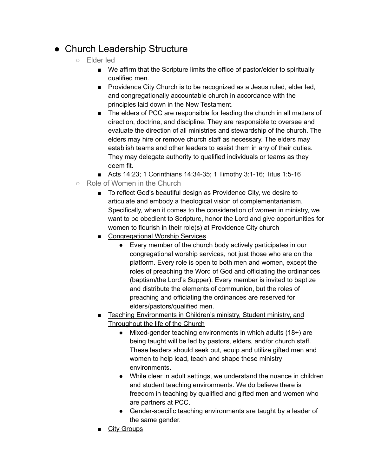### <span id="page-9-1"></span><span id="page-9-0"></span>● Church Leadership Structure

- Elder led
	- We affirm that the Scripture limits the office of pastor/elder to spiritually qualified men.
	- Providence City Church is to be recognized as a Jesus ruled, elder led, and congregationally accountable church in accordance with the principles laid down in the New Testament.
	- The elders of PCC are responsible for leading the church in all matters of direction, doctrine, and discipline. They are responsible to oversee and evaluate the direction of all ministries and stewardship of the church. The elders may hire or remove church staff as necessary. The elders may establish teams and other leaders to assist them in any of their duties. They may delegate authority to qualified individuals or teams as they deem fit.
	- Acts 14:23; 1 Corinthians 14:34-35; 1 Timothy 3:1-16; Titus 1:5-16
- <span id="page-9-2"></span>○ Role of Women in the Church
	- To reflect God's beautiful design as Providence City, we desire to articulate and embody a theological vision of complementarianism. Specifically, when it comes to the consideration of women in ministry, we want to be obedient to Scripture, honor the Lord and give opportunities for women to flourish in their role(s) at Providence City church
	- Congregational Worship Services
		- Every member of the church body actively participates in our congregational worship services, not just those who are on the platform. Every role is open to both men and women, except the roles of preaching the Word of God and officiating the ordinances (baptism/the Lord's Supper). Every member is invited to baptize and distribute the elements of communion, but the roles of preaching and officiating the ordinances are reserved for elders/pastors/qualified men.
	- Teaching Environments in Children's ministry, Student ministry, and Throughout the life of the Church
		- Mixed-gender teaching environments in which adults  $(18+)$  are being taught will be led by pastors, elders, and/or church staff. These leaders should seek out, equip and utilize gifted men and women to help lead, teach and shape these ministry environments.
		- While clear in adult settings, we understand the nuance in children and student teaching environments. We do believe there is freedom in teaching by qualified and gifted men and women who are partners at PCC.
		- Gender-specific teaching environments are taught by a leader of the same gender.
	- City Groups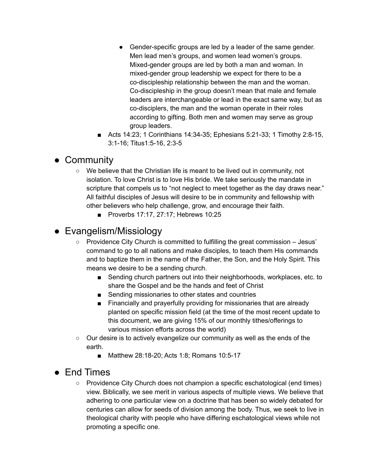- Gender-specific groups are led by a leader of the same gender. Men lead men's groups, and women lead women's groups. Mixed-gender groups are led by both a man and woman. In mixed-gender group leadership we expect for there to be a co-discipleship relationship between the man and the woman. Co-discipleship in the group doesn't mean that male and female leaders are interchangeable or lead in the exact same way, but as co-disciplers, the man and the woman operate in their roles according to gifting. Both men and women may serve as group group leaders.
- Acts 14:23; 1 Corinthians 14:34-35; Ephesians 5:21-33; 1 Timothy 2:8-15, 3:1-16; Titus1:5-16, 2:3-5

### <span id="page-10-0"></span>● Community

- We believe that the Christian life is meant to be lived out in community, not isolation. To love Christ is to love His bride. We take seriously the mandate in scripture that compels us to "not neglect to meet together as the day draws near." All faithful disciples of Jesus will desire to be in community and fellowship with other believers who help challenge, grow, and encourage their faith.
	- Proverbs 17:17, 27:17; Hebrews 10:25

### <span id="page-10-1"></span>● Evangelism/Missiology

- $\circ$  Providence City Church is committed to fulfilling the great commission Jesus' command to go to all nations and make disciples, to teach them His commands and to baptize them in the name of the Father, the Son, and the Holy Spirit. This means we desire to be a sending church.
	- Sending church partners out into their neighborhoods, workplaces, etc. to share the Gospel and be the hands and feet of Christ
	- Sending missionaries to other states and countries
	- Financially and prayerfully providing for missionaries that are already planted on specific mission field (at the time of the most recent update to this document, we are giving 15% of our monthly tithes/offerings to various mission efforts across the world)
- Our desire is to actively evangelize our community as well as the ends of the earth.
	- Matthew 28:18-20; Acts 1:8; Romans 10:5-17

### <span id="page-10-2"></span>● End Times

○ Providence City Church does not champion a specific eschatological (end times) view. Biblically, we see merit in various aspects of multiple views. We believe that adhering to one particular view on a doctrine that has been so widely debated for centuries can allow for seeds of division among the body. Thus, we seek to live in theological charity with people who have differing eschatological views while not promoting a specific one.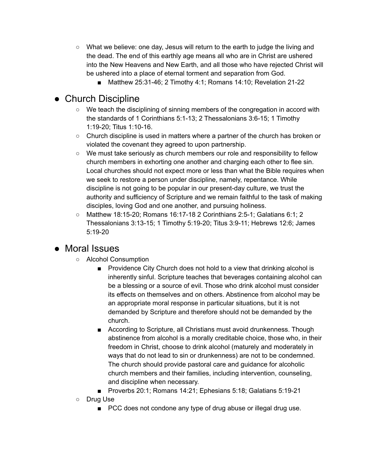- What we believe: one day, Jesus will return to the earth to judge the living and the dead. The end of this earthly age means all who are in Christ are ushered into the New Heavens and New Earth, and all those who have rejected Christ will be ushered into a place of eternal torment and separation from God.
	- Matthew 25:31-46; 2 Timothy 4:1; Romans 14:10; Revelation 21-22

### <span id="page-11-0"></span>• Church Discipline

- We teach the disciplining of sinning members of the congregation in accord with the standards of 1 Corinthians 5:1-13; 2 Thessalonians 3:6-15; 1 Timothy 1:19-20; Titus 1:10-16.
- Church discipline is used in matters where a partner of the church has broken or violated the covenant they agreed to upon partnership.
- We must take seriously as church members our role and responsibility to fellow church members in exhorting one another and charging each other to flee sin. Local churches should not expect more or less than what the Bible requires when we seek to restore a person under discipline, namely, repentance. While discipline is not going to be popular in our present-day culture, we trust the authority and sufficiency of Scripture and we remain faithful to the task of making disciples, loving God and one another, and pursuing holiness.
- Matthew 18:15-20; Romans 16:17-18 2 Corinthians 2:5-1; Galatians 6:1; 2 Thessalonians 3:13-15; 1 Timothy 5:19-20; Titus 3:9-11; Hebrews 12:6; James 5:19-20

### <span id="page-11-1"></span>● Moral Issues

- Alcohol Consumption
	- Providence City Church does not hold to a view that drinking alcohol is inherently sinful. Scripture teaches that beverages containing alcohol can be a blessing or a source of evil. Those who drink alcohol must consider its effects on themselves and on others. Abstinence from alcohol may be an appropriate moral response in particular situations, but it is not demanded by Scripture and therefore should not be demanded by the church.
	- According to Scripture, all Christians must avoid drunkenness. Though abstinence from alcohol is a morally creditable choice, those who, in their freedom in Christ, choose to drink alcohol (maturely and moderately in ways that do not lead to sin or drunkenness) are not to be condemned. The church should provide pastoral care and guidance for alcoholic church members and their families, including intervention, counseling, and discipline when necessary.
	- Proverbs 20:1; Romans 14:21; Ephesians 5:18; Galatians 5:19-21
- Drug Use
	- PCC does not condone any type of drug abuse or illegal drug use.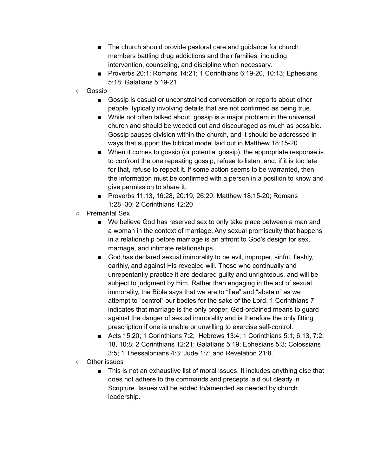- The church should provide pastoral care and guidance for church members battling drug addictions and their families, including intervention, counseling, and discipline when necessary.
- Proverbs 20:1; Romans 14:21; 1 Corinthians 6:19-20, 10:13; Ephesians 5:18; Galatians 5:19-21
- Gossip
	- Gossip is casual or unconstrained conversation or reports about other people, typically involving details that are not confirmed as being true.
	- While not often talked about, gossip is a major problem in the universal church and should be weeded out and discouraged as much as possible. Gossip causes division within the church, and it should be addressed in ways that support the biblical model laid out in Matthew 18:15-20
	- When it comes to gossip (or potential gossip), the appropriate response is to confront the one repeating gossip, refuse to listen, and, if it is too late for that, refuse to repeat it. If some action seems to be warranted, then the information must be confirmed with a person in a position to know and give permission to share it.
	- Proverbs 11:13, 16:28, 20:19, 26:20; Matthew 18:15-20; Romans 1:28–30; 2 Corinthians 12:20
- Premarital Sex
	- We believe God has reserved sex to only take place between a man and a woman in the context of marriage. Any sexual promiscuity that happens in a relationship before marriage is an affront to God's design for sex, marriage, and intimate relationships.
	- God has declared sexual immorality to be evil, improper, sinful, fleshly, earthly, and against His revealed will. Those who continually and unrepentantly practice it are declared guilty and unrighteous, and will be subject to judgment by Him. Rather than engaging in the act of sexual immorality, the Bible says that we are to "flee" and "abstain" as we attempt to "control" our bodies for the sake of the Lord. 1 Corinthians 7 indicates that marriage is the only proper, God-ordained means to guard against the danger of sexual immorality and is therefore the only fitting prescription if one is unable or unwilling to exercise self-control.
	- Acts 15:20; 1 Corinthians 7:2; Hebrews 13:4; 1 Corinthians 5:1; 6:13, 7:2, 18, 10:8; 2 Corinthians 12:21; Galatians 5:19; Ephesians 5:3; Colossians 3:5; 1 Thessalonians 4:3; Jude 1:7; and Revelation 21:8.
- Other issues
	- This is not an exhaustive list of moral issues. It includes anything else that does not adhere to the commands and precepts laid out clearly in Scripture. Issues will be added to/amended as needed by church leadership.